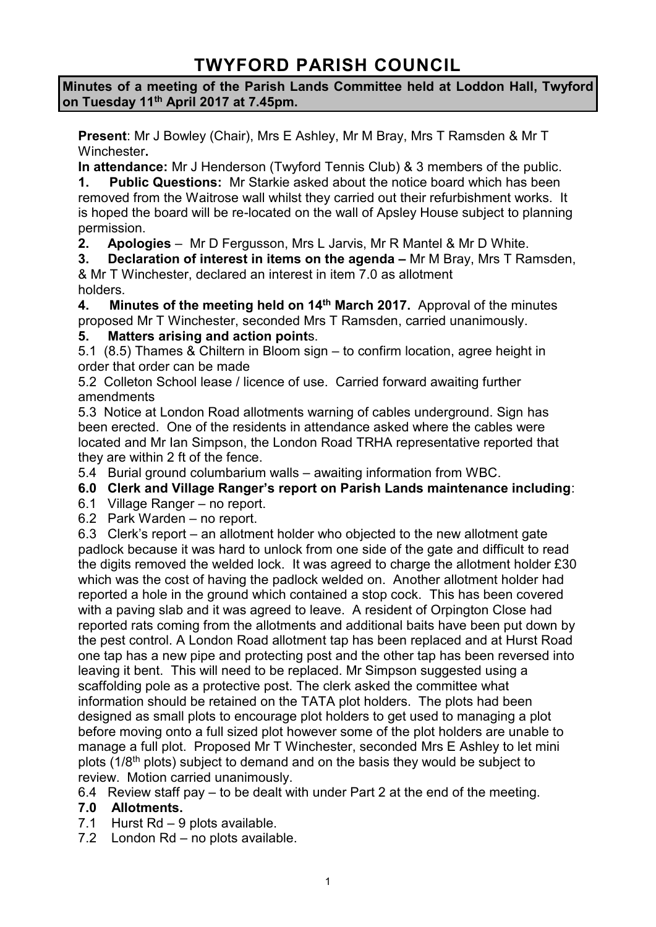# **TWYFORD PARISH COUNCIL**

**Minutes of a meeting of the Parish Lands Committee held at Loddon Hall, Twyford on Tuesday 11th April 2017 at 7.45pm.**

**Present**: Mr J Bowley (Chair), Mrs E Ashley, Mr M Bray, Mrs T Ramsden & Mr T Winchester**.**

**In attendance:** Mr J Henderson (Twyford Tennis Club) & 3 members of the public.

**1. Public Questions:** Mr Starkie asked about the notice board which has been removed from the Waitrose wall whilst they carried out their refurbishment works. It is hoped the board will be re-located on the wall of Apsley House subject to planning permission.

**2. Apologies** – Mr D Fergusson, Mrs L Jarvis, Mr R Mantel & Mr D White.

**3. Declaration of interest in items on the agenda – Mr M Bray, Mrs T Ramsden,** & Mr T Winchester, declared an interest in item 7.0 as allotment

holders.

**4. Minutes of the meeting held on 14th March 2017.** Approval of the minutes proposed Mr T Winchester, seconded Mrs T Ramsden, carried unanimously.

## **5. Matters arising and action point**s.

5.1 (8.5) Thames & Chiltern in Bloom sign – to confirm location, agree height in order that order can be made

5.2 Colleton School lease / licence of use. Carried forward awaiting further amendments

5.3 Notice at London Road allotments warning of cables underground. Sign has been erected. One of the residents in attendance asked where the cables were located and Mr Ian Simpson, the London Road TRHA representative reported that they are within 2 ft of the fence.

5.4 Burial ground columbarium walls – awaiting information from WBC.

**6.0 Clerk and Village Ranger's report on Parish Lands maintenance including**:

- 6.1 Village Ranger no report.
- 6.2 Park Warden no report.

6.3 Clerk's report – an allotment holder who objected to the new allotment gate padlock because it was hard to unlock from one side of the gate and difficult to read the digits removed the welded lock. It was agreed to charge the allotment holder £30 which was the cost of having the padlock welded on. Another allotment holder had reported a hole in the ground which contained a stop cock. This has been covered with a paving slab and it was agreed to leave. A resident of Orpington Close had reported rats coming from the allotments and additional baits have been put down by the pest control. A London Road allotment tap has been replaced and at Hurst Road one tap has a new pipe and protecting post and the other tap has been reversed into leaving it bent. This will need to be replaced. Mr Simpson suggested using a scaffolding pole as a protective post. The clerk asked the committee what information should be retained on the TATA plot holders. The plots had been designed as small plots to encourage plot holders to get used to managing a plot before moving onto a full sized plot however some of the plot holders are unable to manage a full plot. Proposed Mr T Winchester, seconded Mrs E Ashley to let mini plots (1/8th plots) subject to demand and on the basis they would be subject to review. Motion carried unanimously.

6.4 Review staff pay – to be dealt with under Part 2 at the end of the meeting.

## **7.0 Allotments.**

- 7.1 Hurst Rd 9 plots available.
- 7.2 London Rd no plots available.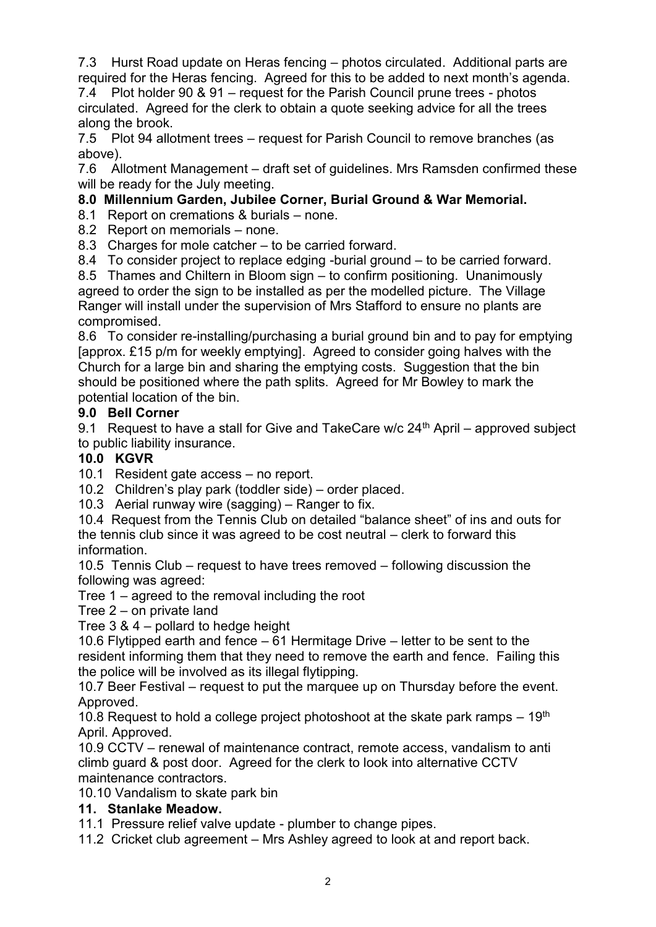7.3 Hurst Road update on Heras fencing – photos circulated. Additional parts are required for the Heras fencing. Agreed for this to be added to next month's agenda. 7.4 Plot holder 90 & 91 – request for the Parish Council prune trees - photos circulated. Agreed for the clerk to obtain a quote seeking advice for all the trees along the brook.

7.5 Plot 94 allotment trees – request for Parish Council to remove branches (as above).

7.6 Allotment Management – draft set of guidelines. Mrs Ramsden confirmed these will be ready for the July meeting.

## **8.0 Millennium Garden, Jubilee Corner, Burial Ground & War Memorial.**

8.1 Report on cremations & burials – none.

8.2 Report on memorials – none.

8.3 Charges for mole catcher – to be carried forward.

8.4 To consider project to replace edging -burial ground – to be carried forward.

8.5 Thames and Chiltern in Bloom sign – to confirm positioning. Unanimously agreed to order the sign to be installed as per the modelled picture. The Village Ranger will install under the supervision of Mrs Stafford to ensure no plants are compromised.

8.6 To consider re-installing/purchasing a burial ground bin and to pay for emptying [approx. £15 p/m for weekly emptying]. Agreed to consider going halves with the Church for a large bin and sharing the emptying costs. Suggestion that the bin should be positioned where the path splits. Agreed for Mr Bowley to mark the potential location of the bin.

#### **9.0 Bell Corner**

9.1 Request to have a stall for Give and TakeCare  $w/c$  24<sup>th</sup> April – approved subject to public liability insurance.

#### **10.0 KGVR**

10.1 Resident gate access – no report.

10.2 Children's play park (toddler side) – order placed.

10.3 Aerial runway wire (sagging) – Ranger to fix.

10.4 Request from the Tennis Club on detailed "balance sheet" of ins and outs for the tennis club since it was agreed to be cost neutral – clerk to forward this information.

10.5 Tennis Club – request to have trees removed – following discussion the following was agreed:

Tree 1 – agreed to the removal including the root

Tree 2 – on private land

Tree 3 & 4 – pollard to hedge height

10.6 Flytipped earth and fence – 61 Hermitage Drive – letter to be sent to the resident informing them that they need to remove the earth and fence. Failing this the police will be involved as its illegal flytipping.

10.7 Beer Festival – request to put the marquee up on Thursday before the event. Approved.

10.8 Request to hold a college project photoshoot at the skate park ramps  $-19<sup>th</sup>$ April. Approved.

10.9 CCTV – renewal of maintenance contract, remote access, vandalism to anti climb guard & post door. Agreed for the clerk to look into alternative CCTV maintenance contractors.

10.10 Vandalism to skate park bin

## **11. Stanlake Meadow.**

11.1 Pressure relief valve update - plumber to change pipes.

11.2 Cricket club agreement – Mrs Ashley agreed to look at and report back.